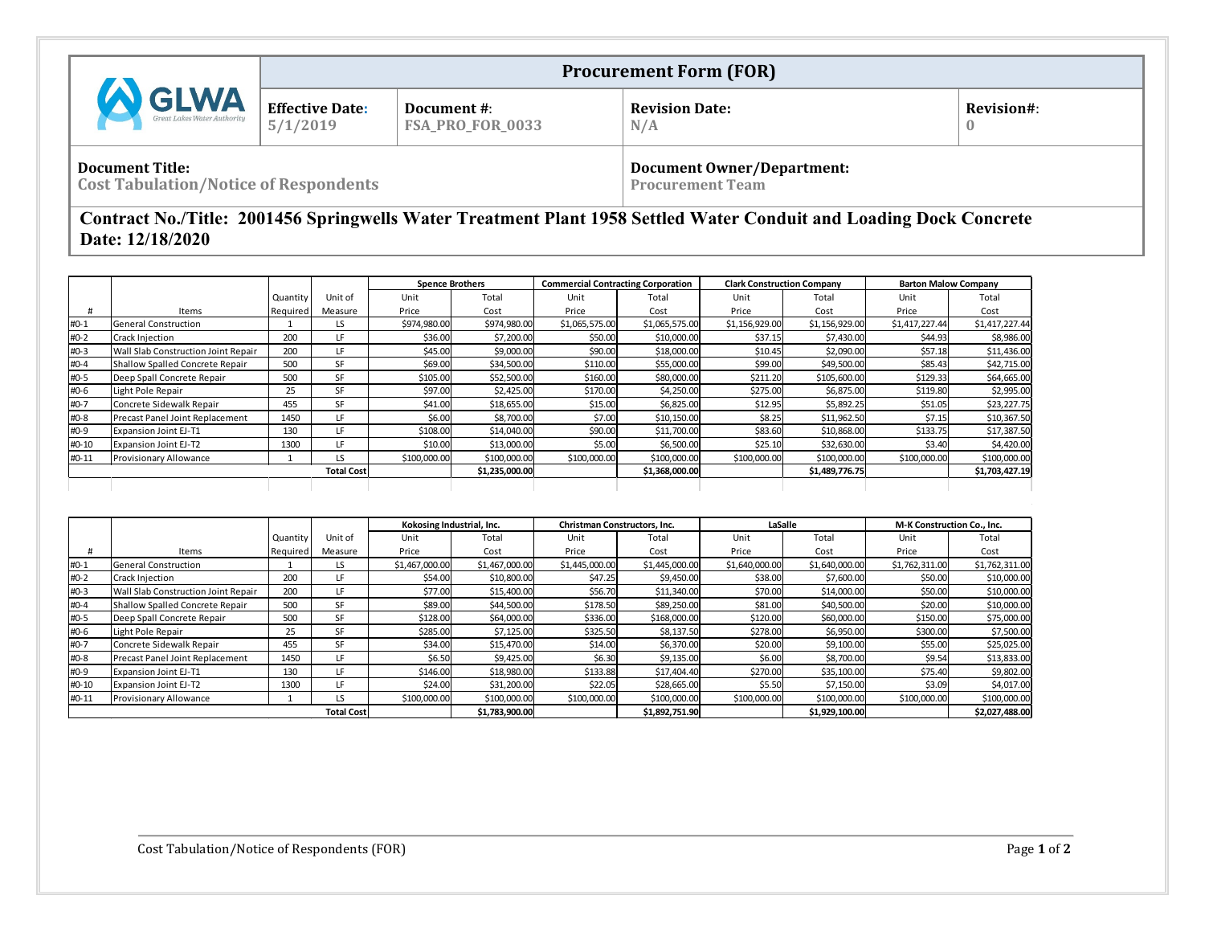|                                                                        |                                    |                                 | <b>Procurement Form (FOR)</b>                                |            |
|------------------------------------------------------------------------|------------------------------------|---------------------------------|--------------------------------------------------------------|------------|
| <b>GLWA</b>                                                            | <b>Effective Date:</b><br>5/1/2019 | Document #:<br>FSA_PRO_FOR_0033 | <b>Revision Date:</b><br>N/A                                 | Revision#: |
| <b>Document Title:</b><br><b>Cost Tabulation/Notice of Respondents</b> |                                    |                                 | <b>Document Owner/Department:</b><br><b>Procurement Team</b> |            |

## **Contract No./Title: 2001456 Springwells Water Treatment Plant 1958 Settled Water Conduit and Loading Dock Concrete Date: 12/18/2020**

|        |                                     |          |                   |              | <b>Spence Brothers</b> |                | <b>Commercial Contracting Corporation</b> | <b>Clark Construction Company</b> |                |                | <b>Barton Malow Company</b> |
|--------|-------------------------------------|----------|-------------------|--------------|------------------------|----------------|-------------------------------------------|-----------------------------------|----------------|----------------|-----------------------------|
|        |                                     | Quantity | Unit of           | Unit         | Total                  | Unit           | Total                                     | Unit                              | Total          | Unit           | Total                       |
|        | Items                               | Required | Measure           | Price        | Cost                   | Price          | Cost                                      | Price                             | Cost           | Price          | Cost                        |
| #0-1   | General Construction                |          | LS.               | \$974,980.00 | \$974,980.00           | \$1,065,575.00 | \$1,065,575.00                            | \$1,156,929.00                    | \$1,156,929.00 | \$1,417,227.44 | \$1,417,227.44              |
| #0-2   | <b>Crack Injection</b>              | 200      | LF                | \$36.00      | \$7,200.00             | \$50.00        | \$10,000.00                               | \$37.15                           | \$7,430.00     | \$44.93        | \$8,986.00                  |
| #0-3   | Wall Slab Construction Joint Repair | 200      | LF                | \$45.00      | \$9,000.00             | \$90.00        | \$18,000.00                               | \$10.45                           | \$2,090.00     | \$57.18        | \$11,436.00                 |
| #0-4   | Shallow Spalled Concrete Repair     | 500      | SF                | \$69.00      | \$34,500.00            | \$110.00       | \$55,000.00                               | \$99.00                           | \$49,500.00    | \$85.43        | \$42,715.00                 |
| #0-5   | Deep Spall Concrete Repair          | 500      | <b>SF</b>         | \$105.00     | \$52,500.00            | \$160.00       | \$80,000.00                               | \$211.20                          | \$105,600.00   | \$129.33       | \$64,665.00                 |
| #0-6   | Light Pole Repair                   | 25       | SF                | \$97.00      | \$2,425.00             | \$170.00       | \$4,250.00                                | \$275.00                          | \$6,875.00     | \$119.80       | \$2,995.00                  |
| $H0-7$ | Concrete Sidewalk Repair            | 455      | <b>SF</b>         | \$41.00      | \$18,655.00            | \$15.00        | \$6,825.00                                | \$12.95                           | \$5,892.25     | \$51.05        | \$23,227.75                 |
| #0-8   | Precast Panel Joint Replacement     | 1450     | LF                | \$6.00       | \$8,700.00             | \$7.00         | \$10,150.00                               | \$8.25                            | \$11,962.50    | \$7.15         | \$10,367.50                 |
| #0-9   | Expansion Joint EJ-T1               | 130      | LF                | \$108.00     | \$14,040.00            | \$90.00        | \$11,700.00                               | \$83.60                           | \$10,868.00    | \$133.75       | \$17,387.50                 |
| #0-10  | <b>Expansion Joint EJ-T2</b>        | 1300     | LF                | \$10.00      | \$13,000.00            | \$5.00         | \$6,500.00                                | \$25.10                           | \$32,630.00    | \$3.40         | \$4,420.00                  |
| #0-11  | Provisionary Allowance              |          | LS                | \$100,000.00 | \$100,000.00           | \$100,000.00   | \$100,000.00                              | \$100,000.00                      | \$100,000.00   | \$100,000.00   | \$100,000.00                |
|        |                                     |          | <b>Total Cost</b> |              | \$1,235,000.00         |                | \$1,368,000.00                            |                                   | \$1,489,776.75 |                | \$1,703,427.19              |
|        |                                     |          |                   |              |                        |                |                                           |                                   |                |                |                             |

|        |                                     |          |                   | Kokosing Industrial, Inc. |                | <b>Christman Constructors. Inc.</b> |                | LaSalle        |                | <b>M-K Construction Co., Inc.</b> |                |
|--------|-------------------------------------|----------|-------------------|---------------------------|----------------|-------------------------------------|----------------|----------------|----------------|-----------------------------------|----------------|
|        |                                     | Quantity | Unit of           | Unit                      | Total          | Unit                                | Total          | Unit           | Total          | Unit                              | Total          |
| #      | Items                               | Required | Measure           | Price                     | Cost           | Price                               | Cost           | Price          | Cost           | Price                             | Cost           |
| $#0-1$ | General Construction                |          | LS                | \$1,467,000.00            | \$1,467,000.00 | \$1,445,000.00                      | \$1,445,000.00 | \$1,640,000.00 | \$1,640,000.00 | \$1,762,311.00                    | \$1,762,311.00 |
| #0-2   | <b>Crack Injection</b>              | 200      | LF                | \$54.00                   | \$10,800.00    | \$47.25                             | \$9,450.00     | \$38.00        | \$7,600.00     | \$50.00                           | \$10,000.00    |
| $#0-3$ | Wall Slab Construction Joint Repair | 200      | LF                | \$77.00l                  | \$15,400.00    | \$56.70                             | \$11,340.00    | \$70.00        | \$14,000.00    | \$50.00                           | \$10,000.00    |
| #0-4   | Shallow Spalled Concrete Repair     | 500      | SF                | \$89.00                   | \$44,500.00    | \$178.50                            | \$89,250.00    | \$81.00        | \$40,500.00    | \$20.00                           | \$10,000.00    |
| #0-5   | Deep Spall Concrete Repair          | 500      | SF                | \$128.00                  | \$64,000.00    | \$336.00                            | \$168,000.00   | \$120.00       | \$60,000.00    | \$150.00                          | \$75,000.00    |
| #0-6   | Light Pole Repair                   | 25       | SF                | \$285.00                  | \$7,125.00     | \$325.50                            | \$8,137.50     | \$278.00       | \$6,950.00     | \$300.00                          | \$7,500.00     |
| #0-7   | Concrete Sidewalk Repair            | 455      | SF                | \$34.00                   | \$15,470.00    | \$14.00                             | \$6,370.00     | \$20.00        | \$9,100.00     | \$55.00                           | \$25,025.00    |
| #0-8   | Precast Panel Joint Replacement     | 1450     | LF.               | \$6.50                    | \$9,425.00     | \$6.30                              | \$9,135.00     | \$6.00         | \$8,700.00     | \$9.54                            | \$13,833.00    |
| #0-9   | <b>Expansion Joint EJ-T1</b>        | 130      | LF                | \$146.00                  | \$18,980.00    | \$133.88                            | \$17,404.40    | \$270.00       | \$35,100.00    | \$75.40                           | \$9,802.00     |
| #0-10  | Expansion Joint EJ-T2               | 1300     | LF                | \$24.00                   | \$31,200.00    | \$22.05                             | \$28,665.00    | \$5.50         | \$7,150.00     | \$3.09                            | \$4,017.00     |
| #0-11  | Provisionary Allowance              |          | LS                | \$100,000.00              | \$100,000.00   | \$100,000.00                        | \$100,000.00   | \$100,000.00   | \$100,000.00   | \$100,000.00                      | \$100,000.00   |
|        |                                     |          | <b>Total Cost</b> |                           | \$1,783,900.00 |                                     | \$1,892,751.90 |                | \$1,929,100.00 |                                   | \$2,027,488.00 |